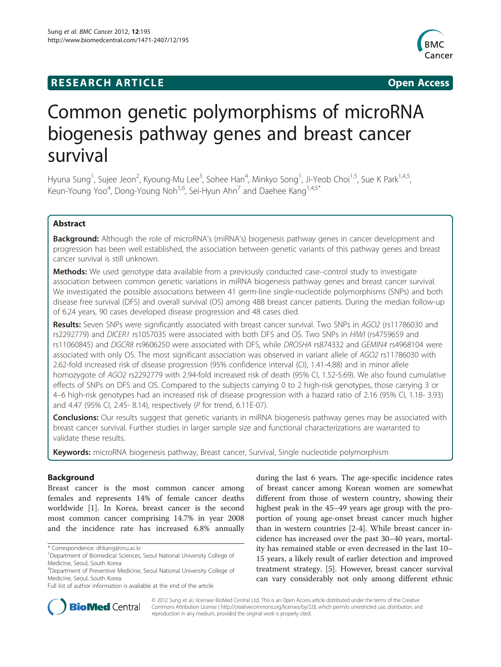## **RESEARCH ARTICLE Example 2014 CONSIDERING CONSIDERING CONSIDERING CONSIDERING CONSIDERING CONSIDERING CONSIDERING CONSIDERING CONSIDERING CONSIDERING CONSIDERING CONSIDERING CONSIDERING CONSIDERING CONSIDERING CONSIDE**



# Common genetic polymorphisms of microRNA biogenesis pathway genes and breast cancer survival

Hyuna Sung<sup>1</sup>, Sujee Jeon<sup>2</sup>, Kyoung-Mu Lee<sup>3</sup>, Sohee Han<sup>4</sup>, Minkyo Song<sup>1</sup>, Ji-Yeob Choi<sup>1,5</sup>, Sue K Park<sup>1,4,5</sup>, Keun-Young Yoo<sup>4</sup>, Dong-Young Noh<sup>5,6</sup>, Sei-Hyun Ahn<sup>7</sup> and Daehee Kang<sup>1,4,5\*</sup>

## Abstract

**Background:** Although the role of microRNA's (miRNA's) biogenesis pathway genes in cancer development and progression has been well established, the association between genetic variants of this pathway genes and breast cancer survival is still unknown.

Methods: We used genotype data available from a previously conducted case–control study to investigate association between common genetic variations in miRNA biogenesis pathway genes and breast cancer survival. We investigated the possible associations between 41 germ-line single-nucleotide polymorphisms (SNPs) and both disease free survival (DFS) and overall survival (OS) among 488 breast cancer patients. During the median follow-up of 6.24 years, 90 cases developed disease progression and 48 cases died.

Results: Seven SNPs were significantly associated with breast cancer survival. Two SNPs in AGO2 (rs11786030 and rs2292779) and DICER1 rs1057035 were associated with both DFS and OS. Two SNPs in HIWI (rs4759659 and rs11060845) and DGCR8 rs9606250 were associated with DFS, while DROSHA rs874332 and GEMIN4 rs4968104 were associated with only OS. The most significant association was observed in variant allele of AGO2 rs11786030 with 2.62-fold increased risk of disease progression (95% confidence interval (CI), 1.41-4.88) and in minor allele homozygote of AGO2 rs2292779 with 2.94-fold increased risk of death (95% CI, 1.52-5.69). We also found cumulative effects of SNPs on DFS and OS. Compared to the subjects carrying 0 to 2 high-risk genotypes, those carrying 3 or 4–6 high-risk genotypes had an increased risk of disease progression with a hazard ratio of 2.16 (95% CI, 1.18- 3.93) and 4.47 (95% CI, 2.45- 8.14), respectively (P for trend, 6.11E-07).

**Conclusions:** Our results suggest that genetic variants in miRNA biogenesis pathway genes may be associated with breast cancer survival. Further studies in larger sample size and functional characterizations are warranted to validate these results.

Keywords: microRNA biogenesis pathway, Breast cancer, Survival, Single nucleotide polymorphism

## Background

Breast cancer is the most common cancer among females and represents 14% of female cancer deaths worldwide [[1\]](#page-10-0). In Korea, breast cancer is the second most common cancer comprising 14.7% in year 2008 and the incidence rate has increased 6.8% annually during the last 6 years. The age-specific incidence rates of breast cancer among Korean women are somewhat different from those of western country, showing their highest peak in the 45–49 years age group with the proportion of young age-onset breast cancer much higher than in western countries [[2-4](#page-10-0)]. While breast cancer incidence has increased over the past 30–40 years, mortality has remained stable or even decreased in the last 10– 15 years, a likely result of earlier detection and improved treatment strategy. [\[5](#page-10-0)]. However, breast cancer survival can vary considerably not only among different ethnic



© 2012 Sung et al.; licensee BioMed Central Ltd. This is an Open Access article distributed under the terms of the Creative Commons Attribution License ( http://creativecommons.org/licenses/by/2.0), which permits unrestricted use, distribution, and reproduction in any medium, provided the original work is properly cited.

<sup>\*</sup> Correspondence: [dhkang@snu.ac.kr](mailto:dhkang@snu.ac.kr) <sup>1</sup>

<sup>&</sup>lt;sup>1</sup>Department of Biomedical Sciences, Seoul National University College of Medicine, Seoul, South Korea

<sup>4</sup> Department of Preventive Medicine, Seoul National University College of Medicine, Seoul, South Korea

Full list of author information is available at the end of the article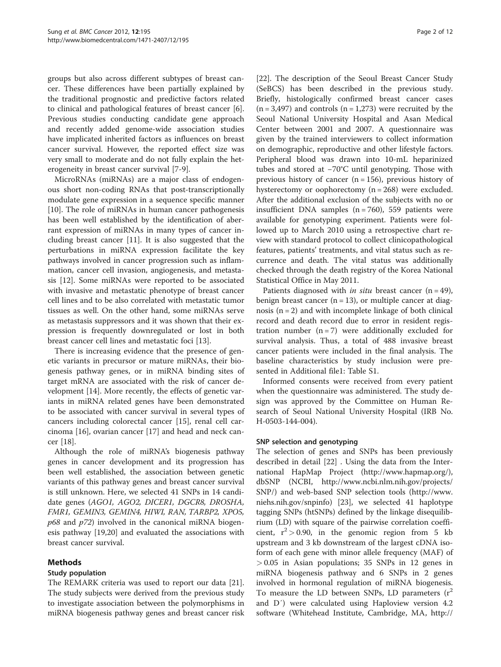groups but also across different subtypes of breast cancer. These differences have been partially explained by the traditional prognostic and predictive factors related to clinical and pathological features of breast cancer [\[6](#page-10-0)]. Previous studies conducting candidate gene approach and recently added genome-wide association studies have implicated inherited factors as influences on breast cancer survival. However, the reported effect size was very small to moderate and do not fully explain the heterogeneity in breast cancer survival [[7-9](#page-10-0)].

MicroRNAs (miRNAs) are a major class of endogenous short non-coding RNAs that post-transcriptionally modulate gene expression in a sequence specific manner [[10\]](#page-10-0). The role of miRNAs in human cancer pathogenesis has been well established by the identification of aberrant expression of miRNAs in many types of cancer including breast cancer [[11\]](#page-11-0). It is also suggested that the perturbations in miRNA expression facilitate the key pathways involved in cancer progression such as inflammation, cancer cell invasion, angiogenesis, and metastasis [\[12](#page-11-0)]. Some miRNAs were reported to be associated with invasive and metastatic phenotype of breast cancer cell lines and to be also correlated with metastatic tumor tissues as well. On the other hand, some miRNAs serve as metastasis suppressors and it was shown that their expression is frequently downregulated or lost in both breast cancer cell lines and metastatic foci [\[13\]](#page-11-0).

There is increasing evidence that the presence of genetic variants in precursor or mature miRNAs, their biogenesis pathway genes, or in miRNA binding sites of target mRNA are associated with the risk of cancer development [[14\]](#page-11-0). More recently, the effects of genetic variants in miRNA related genes have been demonstrated to be associated with cancer survival in several types of cancers including colorectal cancer [\[15](#page-11-0)], renal cell carcinoma [[16\]](#page-11-0), ovarian cancer [[17](#page-11-0)] and head and neck cancer [\[18](#page-11-0)].

Although the role of miRNA's biogenesis pathway genes in cancer development and its progression has been well established, the association between genetic variants of this pathway genes and breast cancer survival is still unknown. Here, we selected 41 SNPs in 14 candidate genes (AGO1, AGO2, DICER1, DGCR8, DROSHA, FMR1, GEMIN3, GEMIN4, HIWI, RAN, TARBP2, XPO5,  $p68$  and  $p72$ ) involved in the canonical miRNA biogenesis pathway [\[19,20](#page-11-0)] and evaluated the associations with breast cancer survival.

## Methods

## Study population

The REMARK criteria was used to report our data [\[21](#page-11-0)]. The study subjects were derived from the previous study to investigate association between the polymorphisms in miRNA biogenesis pathway genes and breast cancer risk

[[22\]](#page-11-0). The description of the Seoul Breast Cancer Study (SeBCS) has been described in the previous study. Briefly, histologically confirmed breast cancer cases  $(n = 3,497)$  and controls  $(n = 1,273)$  were recruited by the Seoul National University Hospital and Asan Medical Center between 2001 and 2007. A questionnaire was given by the trained interviewers to collect information on demographic, reproductive and other lifestyle factors. Peripheral blood was drawn into 10-mL heparinized tubes and stored at −70°C until genotyping. Those with previous history of cancer  $(n = 156)$ , previous history of hysterectomy or oophorectomy  $(n = 268)$  were excluded. After the additional exclusion of the subjects with no or insufficient DNA samples  $(n = 760)$ , 559 patients were available for genotyping experiment. Patients were followed up to March 2010 using a retrospective chart review with standard protocol to collect clinicopathological features, patients' treatments, and vital status such as recurrence and death. The vital status was additionally checked through the death registry of the Korea National Statistical Office in May 2011.

Patients diagnosed with *in situ* breast cancer  $(n = 49)$ , benign breast cancer  $(n = 13)$ , or multiple cancer at diagnosis  $(n = 2)$  and with incomplete linkage of both clinical record and death record due to error in resident registration number  $(n = 7)$  were additionally excluded for survival analysis. Thus, a total of 488 invasive breast cancer patients were included in the final analysis. The baseline characteristics by study inclusion were presented in Additional file1: Table [S1](#page-10-0).

Informed consents were received from every patient when the questionnaire was administered. The study design was approved by the Committee on Human Research of Seoul National University Hospital (IRB No. H-0503-144-004).

## SNP selection and genotyping

The selection of genes and SNPs has been previously described in detail [[22\]](#page-11-0) . Using the data from the International HapMap Project [\(http://www.hapmap.org/](http://www.hapmap.org/)), dbSNP (NCBI, [http://www.ncbi.nlm.nih.gov/projects/](http://www.ncbi.nlm.nih.gov/projects/SNP/) [SNP/](http://www.ncbi.nlm.nih.gov/projects/SNP/)) and web-based SNP selection tools ([http://www.](http://www.niehs.nih.gov/snpinfo) [niehs.nih.gov/snpinfo\)](http://www.niehs.nih.gov/snpinfo) [[23\]](#page-11-0), we selected 41 haplotype tagging SNPs (htSNPs) defined by the linkage disequilibrium (LD) with square of the pairwise correlation coefficient,  $r^2 > 0.90$ , in the genomic region from 5 kb upstream and 3 kb downstream of the largest cDNA isoform of each gene with minor allele frequency (MAF) of > 0.05 in Asian populations; 35 SNPs in 12 genes in miRNA biogenesis pathway and 6 SNPs in 2 genes involved in hormonal regulation of miRNA biogenesis. To measure the LD between SNPs, LD parameters  $(r^2)$ and D′) were calculated using Haploview version 4.2 software (Whitehead Institute, Cambridge, MA, [http://](http://www.broadinstitute.org/haploview/haploview)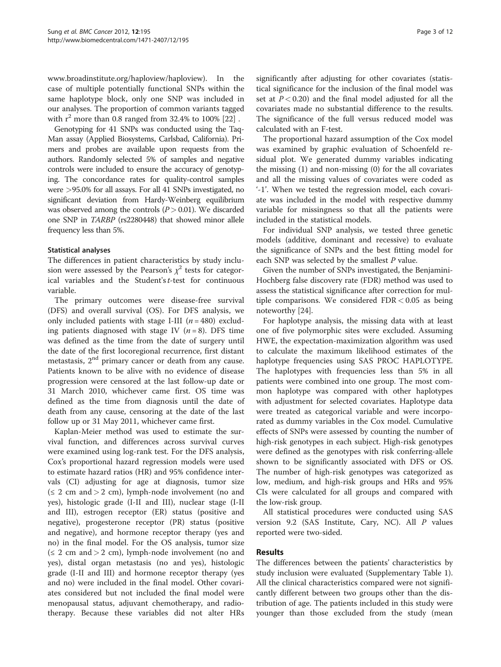[www.broadinstitute.org/haploview/haploview](http://www.broadinstitute.org/haploview/haploview)). In the case of multiple potentially functional SNPs within the same haplotype block, only one SNP was included in our analyses. The proportion of common variants tagged with  $r^2$  more than 0.8 ranged from 32.4% to 100% [\[22](#page-11-0)].

Genotyping for 41 SNPs was conducted using the Taq-Man assay (Applied Biosystems, Carlsbad, California). Primers and probes are available upon requests from the authors. Randomly selected 5% of samples and negative controls were included to ensure the accuracy of genotyping. The concordance rates for quality-control samples were >95.0% for all assays. For all 41 SNPs investigated, no significant deviation from Hardy-Weinberg equilibrium was observed among the controls  $(P> 0.01)$ . We discarded one SNP in TARBP (rs2280448) that showed minor allele frequency less than 5%.

#### Statistical analyses

The differences in patient characteristics by study inclusion were assessed by the Pearson's  $\chi^2$  tests for categorical variables and the Student's t-test for continuous variable.

The primary outcomes were disease-free survival (DFS) and overall survival (OS). For DFS analysis, we only included patients with stage I-III  $(n = 480)$  excluding patients diagnosed with stage IV  $(n = 8)$ . DFS time was defined as the time from the date of surgery until the date of the first locoregional recurrence, first distant metastasis, 2<sup>nd</sup> primary cancer or death from any cause. Patients known to be alive with no evidence of disease progression were censored at the last follow-up date or 31 March 2010, whichever came first. OS time was defined as the time from diagnosis until the date of death from any cause, censoring at the date of the last follow up or 31 May 2011, whichever came first.

Kaplan-Meier method was used to estimate the survival function, and differences across survival curves were examined using log-rank test. For the DFS analysis, Cox's proportional hazard regression models were used to estimate hazard ratios (HR) and 95% confidence intervals (CI) adjusting for age at diagnosis, tumor size  $(\leq 2 \text{ cm and} > 2 \text{ cm})$ , lymph-node involvement (no and yes), histologic grade (I-II and III), nuclear stage (I-II and III), estrogen receptor (ER) status (positive and negative), progesterone receptor (PR) status (positive and negative), and hormone receptor therapy (yes and no) in the final model. For the OS analysis, tumor size  $(\leq 2 \text{ cm and} > 2 \text{ cm})$ , lymph-node involvement (no and yes), distal organ metastasis (no and yes), histologic grade (I-II and III) and hormone receptor therapy (yes and no) were included in the final model. Other covariates considered but not included the final model were menopausal status, adjuvant chemotherapy, and radiotherapy. Because these variables did not alter HRs significantly after adjusting for other covariates (statistical significance for the inclusion of the final model was set at  $P < 0.20$ ) and the final model adjusted for all the covariates made no substantial difference to the results. The significance of the full versus reduced model was calculated with an F-test.

The proportional hazard assumption of the Cox model was examined by graphic evaluation of Schoenfeld residual plot. We generated dummy variables indicating the missing (1) and non-missing (0) for the all covariates and all the missing values of covariates were coded as '-1'. When we tested the regression model, each covariate was included in the model with respective dummy variable for missingness so that all the patients were included in the statistical models.

For individual SNP analysis, we tested three genetic models (additive, dominant and recessive) to evaluate the significance of SNPs and the best fitting model for each SNP was selected by the smallest P value.

Given the number of SNPs investigated, the Benjamini-Hochberg false discovery rate (FDR) method was used to assess the statistical significance after correction for multiple comparisons. We considered  $FDR < 0.05$  as being noteworthy [\[24\]](#page-11-0).

For haplotype analysis, the missing data with at least one of five polymorphic sites were excluded. Assuming HWE, the expectation-maximization algorithm was used to calculate the maximum likelihood estimates of the haplotype frequencies using SAS PROC HAPLOTYPE. The haplotypes with frequencies less than 5% in all patients were combined into one group. The most common haplotype was compared with other haplotypes with adjustment for selected covariates. Haplotype data were treated as categorical variable and were incorporated as dummy variables in the Cox model. Cumulative effects of SNPs were assessed by counting the number of high-risk genotypes in each subject. High-risk genotypes were defined as the genotypes with risk conferring-allele shown to be significantly associated with DFS or OS. The number of high-risk genotypes was categorized as low, medium, and high-risk groups and HRs and 95% CIs were calculated for all groups and compared with the low-risk group.

All statistical procedures were conducted using SAS version 9.2 (SAS Institute, Cary, NC). All P values reported were two-sided.

## Results

The differences between the patients' characteristics by study inclusion were evaluated (Supplementary Table [1](#page-3-0)). All the clinical characteristics compared were not significantly different between two groups other than the distribution of age. The patients included in this study were younger than those excluded from the study (mean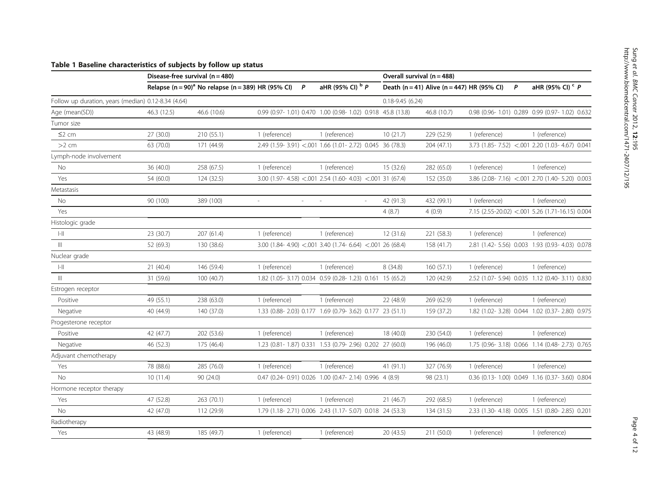## <span id="page-3-0"></span>Table 1 Baseline characteristics of subjects by follow up status

|                                                     | Disease-free survival $(n = 480)$ | Overall survival (n = 488)                                     |               |                          |                                                           |                     |                                            |               |   |                                                 |
|-----------------------------------------------------|-----------------------------------|----------------------------------------------------------------|---------------|--------------------------|-----------------------------------------------------------|---------------------|--------------------------------------------|---------------|---|-------------------------------------------------|
|                                                     |                                   | Relapse (n = 90) <sup>a</sup> No relapse (n = 389) HR (95% CI) |               | $\mathsf{P}$             | aHR (95% CI) <sup>b</sup> P                               |                     | Death (n = 41) Alive (n = 447) HR (95% CI) |               | P | aHR (95% CI) <sup>c</sup> P                     |
| Follow up duration, years (median) 0.12-8.34 (4.64) |                                   |                                                                |               |                          |                                                           | $0.18 - 9.45(6.24)$ |                                            |               |   |                                                 |
| Age (mean(SD))                                      | 46.3 (12.5)                       | 46.6 (10.6)                                                    |               |                          | 0.99 (0.97-1.01) 0.470 1.00 (0.98-1.02) 0.918 45.8 (13.8) |                     | 46.8 (10.7)                                |               |   | 0.98 (0.96-1.01) 0.289 0.99 (0.97-1.02) 0.632   |
| Tumor size                                          |                                   |                                                                |               |                          |                                                           |                     |                                            |               |   |                                                 |
| $\leq$ 2 cm                                         | 27 (30.0)                         | 210 (55.1)                                                     | 1 (reference) |                          | 1 (reference)                                             | 10(21.7)            | 229 (52.9)                                 | 1 (reference) |   | 1 (reference)                                   |
| $>2$ cm                                             | 63 (70.0)                         | 171 (44.9)                                                     |               |                          | 2.49 (1.59- 3.91) <.001 1.66 (1.01- 2.72) 0.045 36 (78.3) |                     | 204 (47.1)                                 |               |   | 3.73 (1.85-7.52) <.001 2.20 (1.03-4.67) 0.041   |
| Lymph-node involvement                              |                                   |                                                                |               |                          |                                                           |                     |                                            |               |   |                                                 |
| No                                                  | 36 (40.0)                         | 258 (67.5)                                                     | 1 (reference) |                          | 1 (reference)                                             | 15 (32.6)           | 282 (65.0)                                 | 1 (reference) |   | 1 (reference)                                   |
| Yes                                                 | 54 (60.0)                         | 124 (32.5)                                                     |               |                          | $3.00$ (1.97-4.58) <.001 2.54 (1.60-4.03) <.001 31 (67.4) |                     | 152 (35.0)                                 |               |   | 3.86 (2.08-7.16) <.001 2.70 (1.40-5.20) 0.003   |
| Metastasis                                          |                                   |                                                                |               |                          |                                                           |                     |                                            |               |   |                                                 |
| <b>No</b>                                           | 90 (100)                          | 389 (100)                                                      | $\bar{a}$     | $\overline{\phantom{a}}$ | $\sim$<br>÷                                               | 42 (91.3)           | 432 (99.1)                                 | 1 (reference) |   | 1 (reference)                                   |
| Yes                                                 |                                   |                                                                |               |                          |                                                           | 4(8.7)              | 4(0.9)                                     |               |   | 7.15 (2.55-20.02) <.001 5.26 (1.71-16.15) 0.004 |
| Histologic grade                                    |                                   |                                                                |               |                          |                                                           |                     |                                            |               |   |                                                 |
| $\left\Vert -\right\Vert$                           | 23 (30.7)                         | 207 (61.4)                                                     | 1 (reference) |                          | 1 (reference)                                             | 12 (31.6)           | 221 (58.3)                                 | 1 (reference) |   | 1 (reference)                                   |
| $\mathbb{H}$                                        | 52 (69.3)                         | 130 (38.6)                                                     |               |                          | $3.00$ (1.84-4.90) < 001 3.40 (1.74-6.64) < 001 26 (68.4) |                     | 158 (41.7)                                 |               |   | 2.81 (1.42-5.56) 0.003 1.93 (0.93-4.03) 0.078   |
| Nuclear grade                                       |                                   |                                                                |               |                          |                                                           |                     |                                            |               |   |                                                 |
| $\left\Vert -\right\Vert$                           | 21(40.4)                          | 146 (59.4)                                                     | 1 (reference) |                          | 1 (reference)                                             | 8 (34.8)            | 160 (57.1)                                 | 1 (reference) |   | 1 (reference)                                   |
| $\,$ III                                            | 31 (59.6)                         | 100 (40.7)                                                     |               |                          | 1.82 (1.05-3.17) 0.034 0.59 (0.28-1.23) 0.161 15 (65.2)   |                     | 120 (42.9)                                 |               |   | 2.52 (1.07-5.94) 0.035 1.12 (0.40-3.11) 0.830   |
| Estrogen receptor                                   |                                   |                                                                |               |                          |                                                           |                     |                                            |               |   |                                                 |
| Positive                                            | 49 (55.1)                         | 238 (63.0)                                                     | 1 (reference) |                          | 1 (reference)                                             | 22 (48.9)           | 269 (62.9)                                 | 1 (reference) |   | 1 (reference)                                   |
| Negative                                            | 40 (44.9)                         | 140 (37.0)                                                     |               |                          | 1.33 (0.88-2.03) 0.177 1.69 (0.79-3.62) 0.177 23 (51.1)   |                     | 159 (37.2)                                 |               |   | 1.82 (1.02-3.28) 0.044 1.02 (0.37-2.80) 0.975   |
| Progesterone receptor                               |                                   |                                                                |               |                          |                                                           |                     |                                            |               |   |                                                 |
| Positive                                            | 42 (47.7)                         | 202 (53.6)                                                     | 1 (reference) |                          | 1 (reference)                                             | 18 (40.0)           | 230 (54.0)                                 | 1 (reference) |   | 1 (reference)                                   |
| Negative                                            | 46 (52.3)                         | 175 (46.4)                                                     |               |                          | 1.23 (0.81-1.87) 0.331 1.53 (0.79-2.96) 0.202 27 (60.0)   |                     | 196 (46.0)                                 |               |   | 1.75 (0.96-3.18) 0.066 1.14 (0.48-2.73) 0.765   |
| Adjuvant chemotherapy                               |                                   |                                                                |               |                          |                                                           |                     |                                            |               |   |                                                 |
| Yes                                                 | 78 (88.6)                         | 285 (76.0)                                                     | 1 (reference) |                          | 1 (reference)                                             | 41 (91.1)           | 327 (76.9)                                 | 1 (reference) |   | 1 (reference)                                   |
| <b>No</b>                                           | 10(11.4)                          | 90 (24.0)                                                      |               |                          | 0.47 (0.24-0.91) 0.026 1.00 (0.47-2.14) 0.996 4 (8.9)     |                     | 98 (23.1)                                  |               |   | 0.36 (0.13-1.00) 0.049 1.16 (0.37-3.60) 0.804   |
| Hormone receptor therapy                            |                                   |                                                                |               |                          |                                                           |                     |                                            |               |   |                                                 |
| Yes                                                 | 47 (52.8)                         | 263 (70.1)                                                     | 1 (reference) |                          | 1 (reference)                                             | 21(46.7)            | 292 (68.5)                                 | 1 (reference) |   | 1 (reference)                                   |
| <b>No</b>                                           | 42 (47.0)                         | 112 (29.9)                                                     |               |                          | 1.79 (1.18-2.71) 0.006 2.43 (1.17-5.07) 0.018 24 (53.3)   |                     | 134 (31.5)                                 |               |   | 2.33 (1.30-4.18) 0.005 1.51 (0.80-2.85) 0.201   |
| Radiotherapy                                        |                                   |                                                                |               |                          |                                                           |                     |                                            |               |   |                                                 |
| Yes                                                 | 43 (48.9)                         | 185 (49.7)                                                     | 1 (reference) |                          | 1 (reference)                                             | 20 (43.5)           | 211 (50.0)                                 | 1 (reference) |   | 1 (reference)                                   |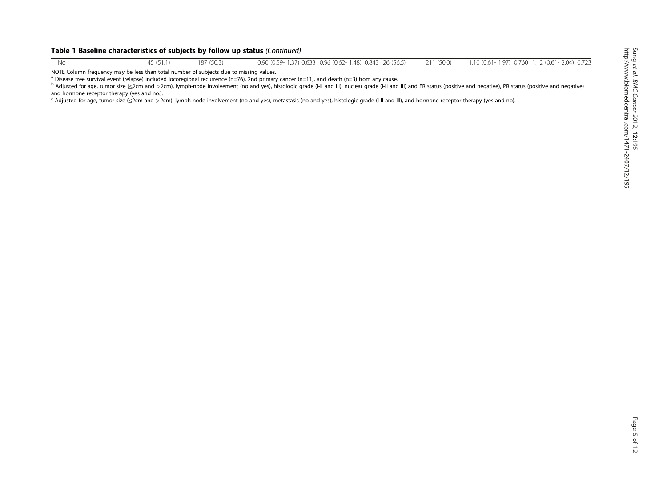#### Table 1 Baseline characteristics of subjects by follow up status (Continued)

| Nс      | $A = \sqrt{2}$ | 187 (50.3) | 0.90 (0.59-1.37) 0.633 0.96 (0.62-1.48) 0.843 26 (56.5) | 211(50.0) | 1.10 (0.61-1.97) 0.760 1.12 (0.61-2.04) 0.723<br>the contract of the contract of the contract of the contract of the contract of the contract of the contract of |  |  |
|---------|----------------|------------|---------------------------------------------------------|-----------|------------------------------------------------------------------------------------------------------------------------------------------------------------------|--|--|
| $M = 5$ |                |            |                                                         |           |                                                                                                                                                                  |  |  |

NOTE Column frequency may be less than total number of subjects due to missing values.

<sup>a</sup> Disease free survival event (relapse) included locoregional recurrence (n=76), 2nd primary cancer (n=11), and death (n=3) from any cause.

<sup>b</sup> Adjusted for age, tumor size (≤2cm and >2cm), lymph-node involvement (no and yes), histologic grade (I-II and III), nuclear grade (I-II and III)) and ER status (positive and negative), PR status (positive and negative and hormone receptor therapy (yes and no.).

<sup>c</sup> Adjusted for age, tumor size (≤2cm and >2cm), lymph-node involvement (no and yes), metastasis (no and yes), histologic grade (I-II and III), and hormone receptor therapy (yes and no).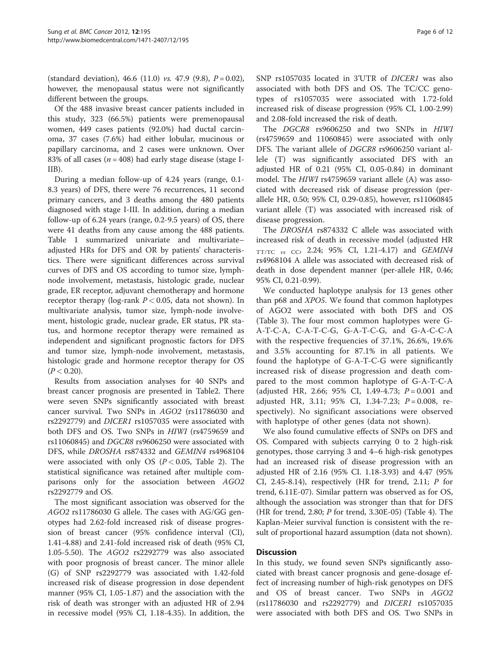(standard deviation), 46.6 (11.0) vs. 47.9 (9.8),  $P = 0.02$ ), however, the menopausal status were not significantly different between the groups.

Of the 488 invasive breast cancer patients included in this study, 323 (66.5%) patients were premenopausal women, 449 cases patients (92.0%) had ductal carcinoma, 37 cases (7.6%) had either lobular, mucinous or papillary carcinoma, and 2 cases were unknown. Over 83% of all cases ( $n = 408$ ) had early stage disease (stage I-IIB).

During a median follow-up of 4.24 years (range, 0.1- 8.3 years) of DFS, there were 76 recurrences, 11 second primary cancers, and 3 deaths among the 480 patients diagnosed with stage I-III. In addition, during a median follow-up of 6.24 years (range, 0.2-9.5 years) of OS, there were 41 deaths from any cause among the 488 patients. Table [1](#page-3-0) summarized univariate and multivariate– adjusted HRs for DFS and OR by patients' characteristics. There were significant differences across survival curves of DFS and OS according to tumor size, lymphnode involvement, metastasis, histologic grade, nuclear grade, ER receptor, adjuvant chemotherapy and hormone receptor therapy (log-rank  $P < 0.05$ , data not shown). In multivariate analysis, tumor size, lymph-node involvement, histologic grade, nuclear grade, ER status, PR status, and hormone receptor therapy were remained as independent and significant prognostic factors for DFS and tumor size, lymph-node involvement, metastasis, histologic grade and hormone receptor therapy for OS  $(P < 0.20)$ .

Results from association analyses for 40 SNPs and breast cancer prognosis are presented in Table[2.](#page-6-0) There were seven SNPs significantly associated with breast cancer survival. Two SNPs in AGO2 (rs11786030 and rs2292779) and DICER1 rs1057035 were associated with both DFS and OS. Two SNPs in HIWI (rs4759659 and rs11060845) and DGCR8 rs9606250 were associated with DFS, while DROSHA rs874332 and GEMIN4 rs4968104 were associated with only OS ( $P < 0.05$ , Table [2](#page-6-0)). The statistical significance was retained after multiple comparisons only for the association between AGO2 rs2292779 and OS.

The most significant association was observed for the AGO2 rs11786030 G allele. The cases with AG/GG genotypes had 2.62-fold increased risk of disease progression of breast cancer (95% confidence interval (CI), 1.41-4.88) and 2.41-fold increased risk of death (95% CI, 1.05-5.50). The AGO2 rs2292779 was also associated with poor prognosis of breast cancer. The minor allele (G) of SNP rs2292779 was associated with 1.42-fold increased risk of disease progression in dose dependent manner (95% CI, 1.05-1.87) and the association with the risk of death was stronger with an adjusted HR of 2.94 in recessive model (95% CI, 1.18-4.35). In addition, the

SNP rs1057035 located in 3'UTR of DICER1 was also associated with both DFS and OS. The TC/CC genotypes of rs1057035 were associated with 1.72-fold increased risk of disease progression (95% CI, 1.00-2.99) and 2.08-fold increased the risk of death.

The DGCR8 rs9606250 and two SNPs in HIWI (rs4759659 and 11060845) were associated with only DFS. The variant allele of DGCR8 rs9606250 variant allele (T) was significantly associated DFS with an adjusted HR of 0.21 (95% CI, 0.05-0.84) in dominant model. The HIWI rs4759659 variant allele (A) was associated with decreased risk of disease progression (perallele HR, 0.50; 95% CI, 0.29-0.85), however, rs11060845 variant allele (T) was associated with increased risk of disease progression.

The DROSHA rs874332 C allele was associated with increased risk of death in recessive model (adjusted HR  $TT/TC$  vs CC, 2.24; 95% CI, 1.21-4.17) and GEMIN4 rs4968104 A allele was associated with decreased risk of death in dose dependent manner (per-allele HR, 0.46; 95% CI, 0.21-0.99).

We conducted haplotype analysis for 13 genes other than p68 and XPO5. We found that common haplotypes of AGO2 were associated with both DFS and OS (Table [3](#page-8-0)). The four most common haplotypes were G-A-T-C-A, C-A-T-C-G, G-A-T-C-G, and G-A-C-C-A with the respective frequencies of 37.1%, 26.6%, 19.6% and 3.5% accounting for 87.1% in all patients. We found the haplotype of G-A-T-C-G were significantly increased risk of disease progression and death compared to the most common haplotype of G-A-T-C-A (adjusted HR, 2.66; 95% CI, 1.49-4.73;  $P = 0.001$  and adjusted HR, 3.11; 95% CI, 1.34-7.23;  $P = 0.008$ , respectively). No significant associations were observed with haplotype of other genes (data not shown).

We also found cumulative effects of SNPs on DFS and OS. Compared with subjects carrying 0 to 2 high-risk genotypes, those carrying 3 and 4–6 high-risk genotypes had an increased risk of disease progression with an adjusted HR of 2.16 (95% CI. 1.18-3.93) and 4.47 (95% CI, 2.45-8.14), respectively (HR for trend, 2.11;  $\ddot{P}$  for trend, 6.11E-07). Similar pattern was observed as for OS, although the association was stronger than that for DFS (HR for trend, 2.80; P for trend, 3.30E-05) (Table [4](#page-8-0)). The Kaplan-Meier survival function is consistent with the result of proportional hazard assumption (data not shown).

## Discussion

In this study, we found seven SNPs significantly associated with breast cancer prognosis and gene-dosage effect of increasing number of high-risk genotypes on DFS and OS of breast cancer. Two SNPs in AGO2 (rs11786030 and rs2292779) and DICER1 rs1057035 were associated with both DFS and OS. Two SNPs in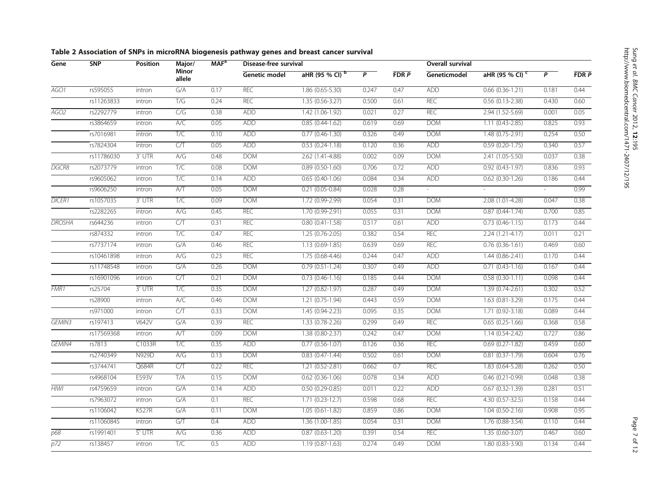<span id="page-6-0"></span>

| Gene               | <b>SNP</b> | <b>Position</b> | Major/          | MAF <sup>a</sup> | Disease-free survival |                            |                | <b>Overall survival</b> |              |                            |        |      |
|--------------------|------------|-----------------|-----------------|------------------|-----------------------|----------------------------|----------------|-------------------------|--------------|----------------------------|--------|------|
|                    |            |                 | Minor<br>allele |                  | Genetic model         | aHR (95 % CI) <sup>b</sup> | $\overline{P}$ | FDRP                    | Geneticmodel | aHR (95 % CI) <sup>c</sup> | P      | FDRP |
| AGO1               | rs595055   | intron          | G/A             | 0.17             | REC                   | $1.86(0.65 - 5.30)$        | 0.247          | 0.47                    | <b>ADD</b>   | $0.66$ $(0.36-1.21)$       | 0.181  | 0.44 |
|                    | rs11263833 | intron          | T/G             | 0.24             | REC                   | $1.35(0.56-3.27)$          | 0.500          | 0.61                    | REC          | $0.56$ $(0.13 - 2.38)$     | 0.430  | 0.60 |
| AGO2               | rs2292779  | intron          | C/G             | 0.38             | <b>ADD</b>            | $1.42(1.06-1.92)$          | 0.021          | 0.27                    | <b>REC</b>   | $2.94(1.52 - 5.69)$        | 0.001  | 0.05 |
|                    | rs3864659  | intron          | A/C             | 0.05             | <b>ADD</b>            | $0.85(0.44-1.62)$          | 0.619          | 0.69                    | <b>DOM</b>   | $1.11 (0.43 - 2.85)$       | 0.825  | 0.93 |
|                    | rs7016981  | intron          | T/C             | 0.10             | <b>ADD</b>            | $0.77$ $(0.46 - 1.30)$     | 0.326          | 0.49                    | <b>DOM</b>   | $1.48(0.75-2.91)$          | 0.254  | 0.50 |
|                    | rs7824304  | intron          | C/T             | 0.05             | <b>ADD</b>            | $0.53(0.24-1.18)$          | 0.120          | 0.36                    | <b>ADD</b>   | $0.59(0.20-1.75)$          | 0.340  | 0.57 |
|                    | rs11786030 | $3'$ UTR        | A/G             | 0.48             | <b>DOM</b>            | $2.62(1.41 - 4.88)$        | 0.002          | 0.09                    | <b>DOM</b>   | $2.41(1.05 - 5.50)$        | 0.037  | 0.38 |
| DGCR8              | rs2073779  | intron          | T/C             | 0.08             | <b>DOM</b>            | $0.89(0.50-1.60)$          | 0.706          | 0.72                    | <b>ADD</b>   | $0.92$ $(0.43 - 1.97)$     | 0.836  | 0.93 |
|                    | rs9605062  | intron          | T/C             | 0.14             | <b>ADD</b>            | $0.65(0.40-1.06)$          | 0.084          | 0.34                    | <b>ADD</b>   | $0.62$ $(0.30-1.26)$       | 0.186  | 0.44 |
|                    | rs9606250  | intron          | A/T             | 0.05             | <b>DOM</b>            | $0.21$ $(0.05 - 0.84)$     | 0.028          | 0.28                    | $\sim$       |                            | $\sim$ | 0.99 |
| <b>DICER1</b>      | rs1057035  | 3' UTR          | T/C             | 0.09             | <b>DOM</b>            | $1.72(0.99-2.99)$          | 0.054          | 0.31                    | <b>DOM</b>   | 2.08 (1.01-4.28)           | 0.047  | 0.38 |
|                    | rs2282265  | intron          | A/G             | 0.45             | <b>REC</b>            | $1.70(0.99-2.91)$          | 0.055          | 0.31                    | <b>DOM</b>   | $0.87(0.44 - 1.74)$        | 0.700  | 0.85 |
| <b>DROSHA</b>      | rs644236   | intron          | CT              | 0.31             | REC                   | $0.80(0.41 - 1.58)$        | 0.517          | 0.61                    | <b>ADD</b>   | $0.73(0.46-1.15)$          | 0.173  | 0.44 |
|                    | rs874332   | intron          | T/C             | 0.47             | REC                   | $1.25(0.76-2.05)$          | 0.382          | 0.54                    | <b>REC</b>   | $2.24(1.21 - 4.17)$        | 0.011  | 0.21 |
|                    | rs7737174  | intron          | G/A             | 0.46             | <b>REC</b>            | $1.13(0.69-1.85)$          | 0.639          | 0.69                    | <b>REC</b>   | $0.76(0.36-1.61)$          | 0.469  | 0.60 |
|                    | rs10461898 | intron          | A/G             | 0.23             | <b>REC</b>            | $1.75(0.68 - 4.46)$        | 0.244          | 0.47                    | <b>ADD</b>   | $1.44(0.86 - 2.41)$        | 0.170  | 0.44 |
|                    | rs11748548 | intron          | G/A             | 0.26             | <b>DOM</b>            | $0.79(0.51-1.24)$          | 0.307          | 0.49                    | <b>ADD</b>   | $0.71$ $(0.43 - 1.16)$     | 0.167  | 0.44 |
|                    | rs16901096 | intron          | C/T             | 0.21             | <b>DOM</b>            | $0.73(0.46-1.16)$          | 0.185          | 0.44                    | <b>DOM</b>   | $0.58(0.30-1.11)$          | 0.098  | 0.44 |
| FMR1               | rs25704    | $3'$ UTR        | T/C             | 0.35             | <b>DOM</b>            | $1.27(0.82 - 1.97)$        | 0.287          | 0.49                    | <b>DOM</b>   | $1.39(0.74 - 2.61)$        | 0.302  | 0.52 |
|                    | rs28900    | intron          | A/C             | 0.46             | <b>DOM</b>            | $1.21 (0.75 - 1.94)$       | 0.443          | 0.59                    | <b>DOM</b>   | $1.63(0.81 - 3.29)$        | 0.175  | 0.44 |
|                    | rs971000   | intron          | C/T             | 0.33             | <b>DOM</b>            | $1.45(0.94 - 2.23)$        | 0.095          | 0.35                    | <b>DOM</b>   | $1.71(0.92 - 3.18)$        | 0.089  | 0.44 |
| GEMIN <sub>3</sub> | rs197413   | V642V           | G/A             | 0.39             | <b>REC</b>            | $1.33(0.78-2.26)$          | 0.299          | 0.49                    | <b>REC</b>   | $0.65(0.25-1.66)$          | 0.368  | 0.58 |
|                    | rs17569368 | intron          | A/T             | 0.09             | <b>DOM</b>            | $1.38(0.80 - 2.37)$        | 0.242          | 0.47                    | <b>DOM</b>   | $1.14(0.54 - 2.42)$        | 0.727  | 0.86 |
| GEMIN4             | rs7813     | C1033R          | T/C             | 0.35             | <b>ADD</b>            | $0.77(0.56-1.07)$          | 0.126          | 0.36                    | <b>REC</b>   | $0.69(0.27-1.82)$          | 0.459  | 0.60 |
|                    | rs2740349  | N929D           | A/G             | 0.13             | <b>DOM</b>            | $0.83(0.47-1.44)$          | 0.502          | 0.61                    | <b>DOM</b>   | $0.81 (0.37 - 1.79)$       | 0.604  | 0.76 |
|                    | rs3744741  | <b>Q684R</b>    | C/T             | 0.22             | <b>REC</b>            | $1.21 (0.52 - 2.81)$       | 0.662          | 0.7                     | <b>REC</b>   | $1.83(0.64 - 5.28)$        | 0.262  | 0.50 |
|                    | rs4968104  | E593V           | T/A             | 0.15             | <b>DOM</b>            | $0.62$ $(0.36-1.06)$       | 0.078          | 0.34                    | <b>ADD</b>   | $0.46(0.21-0.99)$          | 0.048  | 0.38 |
| <b>HIWI</b>        | rs4759659  | intron          | G/A             | 0.14             | <b>ADD</b>            | $0.50(0.29 - 0.85)$        | 0.011          | 0.22                    | <b>ADD</b>   | $0.67$ $(0.32 - 1.39)$     | 0.281  | 0.51 |
|                    | rs7963072  | intron          | G/A             | 0.1              | <b>REC</b>            | $1.71(0.23-12.7)$          | 0.598          | 0.68                    | <b>REC</b>   | $4.30(0.57-32.5)$          | 0.158  | 0.44 |
|                    | rs1106042  | <b>K527R</b>    | G/A             | 0.11             | <b>DOM</b>            | $1.05(0.61-1.82)$          | 0.859          | 0.86                    | <b>DOM</b>   | $1.04(0.50-2.16)$          | 0.908  | 0.95 |
|                    | rs11060845 | intron          | G/T             | 0.4              | <b>ADD</b>            | $1.36(1.00-1.85)$          | 0.054          | 0.31                    | <b>DOM</b>   | $1.76(0.88-3.54)$          | 0.110  | 0.44 |
| p68                | rs1991401  | 5' UTR          | A/G             | 0.36             | <b>ADD</b>            | $0.87$ $(0.63 - 1.20)$     | 0.391          | 0.54                    | <b>REC</b>   | $1.35(0.60-3.07)$          | 0.467  | 0.60 |
| p72                | rs138457   | intron          | T/C             | 0.5              | <b>ADD</b>            | $1.19(0.87 - 1.63)$        | 0.274          | 0.49                    | <b>DOM</b>   | 1.80 (0.83-3.90)           | 0.134  | 0.44 |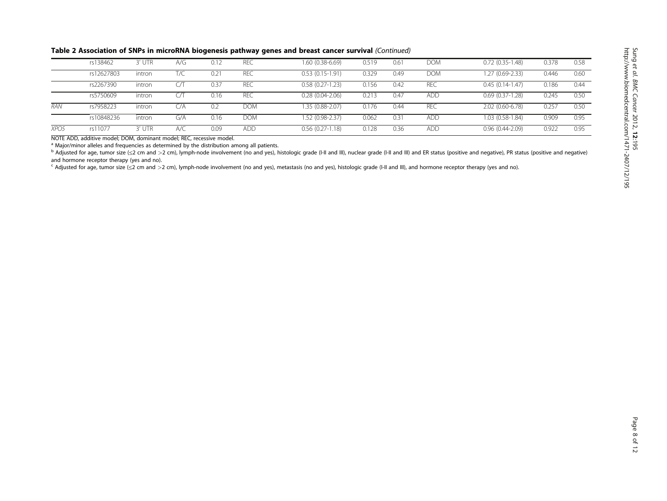| Table 2 Association of SNPs in microRNA biogenesis pathway genes and breast cancer survival (Continued) |  |  |
|---------------------------------------------------------------------------------------------------------|--|--|
|---------------------------------------------------------------------------------------------------------|--|--|

|                  | rs138462   | 3' UTR | A/G  | 0.12          | REC        | 1.60 (0.38-6.69)    | 0.519 | $0.6^{\circ}$ | <b>DOM</b> | $0.72(0.35-1.48)$   | 0.378 | 0.58 |
|------------------|------------|--------|------|---------------|------------|---------------------|-------|---------------|------------|---------------------|-------|------|
|                  | rs12627803 | intron | T/C  | $0.2^{\circ}$ | REC        | $0.53(0.15-1.91)$   | 0.329 | 0.49          | <b>DOM</b> | $1.27(0.69-2.33)$   | 0.446 | 0.60 |
|                  | rs2267390  | intron |      | 0.37          | <b>REC</b> | $0.58(0.27-1.23)$   | 0.156 | 0.42          | <b>REC</b> | $0.45(0.14-1.47)$   | 0.186 | 0.44 |
|                  | rs5750609  | intron |      | 0.16          | <b>REC</b> | $0.28(0.04 - 2.06)$ | 0.213 | 0.47          | ADD.       | $0.69(0.37-1.28)$   | 0.245 | 0.50 |
| <b>RAN</b>       | rs7958223  | intron | C/A. | 0.2           | DOM        | 1.35 (0.88-2.07)    | 0.176 | 0.44          | REC        | 2.02 (0.60-6.78)    | 0.257 | 0.50 |
|                  | rs10848236 | intron | G/A  | 0.16          | DOM        | 1.52 (0.98-2.37)    | 0.062 | $0.3^{\circ}$ | ADD.       | 1.03 (0.58-1.84)    | 0.909 | 0.95 |
| XPO <sub>5</sub> | rs11077    | 3' UTR | A/C  | 0.09          | <b>ADD</b> | $0.56(0.27-1.18)$   | 0.128 | 0.36          | ADD.       | $0.96(0.44 - 2.09)$ | 0.922 | 0.95 |

NOTE ADD, additive model; DOM, dominant model; REC, recessive model.

<sup>a</sup> Major/minor alleles and frequencies as determined by the distribution among all patients.

<sup>b</sup> Adjusted for age, tumor size (≤2 cm and >2 cm), lymph-node involvement (no and yes), histologic grade (I-II and III), nuclear grade (I-II and III) and ER status (positive and negative), PR status (positive and negative) and hormone receptor therapy (yes and no).

<sup>c</sup> Adjusted for age, tumor size (≤2 cm and >2 cm), lymph-node involvement (no and yes), metastasis (no and yes), histologic grade (I-II and III), and hormone receptor therapy (yes and no).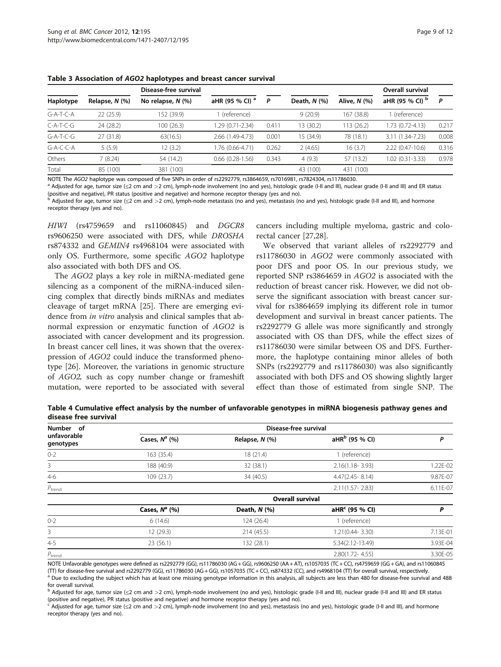|             |                | Disease-free survival  |                            |       |                   |              | Overall survival    |       |
|-------------|----------------|------------------------|----------------------------|-------|-------------------|--------------|---------------------|-------|
| Haplotype   | Relapse, N (%) | No relapse, $N$ $(\%)$ | aHR (95 % CI) <sup>a</sup> | P     | Death, $N$ $(\%)$ | Alive, N (%) | aHR (95 % CI) b     | P     |
| $G-A-T-C-A$ | 22 (25.9)      | 152 (39.9)             | (reference)                |       | 9(20.9)           | 167 (38.8)   | (reference)         |       |
| $C-A-T-C-G$ | 24 (28.2)      | 100(26.3)              | 1.29 (0.71-2.34)           | 0.411 | 13 (30.2)         | 113 (26.2)   | 1.73 (0.72-4.13)    | 0.217 |
| $G-A-T-C-G$ | 27 (31.8)      | 63(16.5)               | 2.66 (1.49-4.73)           | 0.001 | 15 (34.9)         | 78 (18.1)    | 3.11 (1.34-7.23)    | 0.008 |
| $G-A-C-C-A$ | 5(5.9)         | 12(3.2)                | 1.76 (0.66-4.71)           | 0.262 | 2(4.65)           | 16(3.7)      | $2.22(0.47-10.6)$   | 0.316 |
| Others      | 7(8.24)        | 54 (14.2)              | $0.66$ $(0.28 - 1.56)$     | 0.343 | 4(9.3)            | 57 (13.2)    | $1.02(0.31 - 3.33)$ | 0.978 |
| Total       | 85 (100)       | 381 (100)              |                            |       | 43 (100)          | 431 (100)    |                     |       |

<span id="page-8-0"></span>Table 3 Association of AGO2 haplotypes and breast cancer survival

NOTE The AGO2 haplotype was composed of five SNPs in order of rs2292779, rs3864659, rs7016981, rs7824304, rs11786030.<br><sup>a</sup> Adjusted for age, tumor size (≤2 cm and >2 cm), lymph-node involvement (no and yes), histologic gra (positive and negative), PR status (positive and negative) and hormone receptor therapy (yes and no).

<sup>b</sup> Adjusted for age, tumor size (≤2 cm and >2 cm), lymph-node metastasis (no and yes), metastasis (no and yes), histologic grade (I-II and III), and hormone receptor therapy (yes and no).

HIWI (rs4759659 and rs11060845) and DGCR8 rs9606250 were associated with DFS, while DROSHA rs874332 and GEMIN4 rs4968104 were associated with only OS. Furthermore, some specific AGO2 haplotype also associated with both DFS and OS.

The AGO2 plays a key role in miRNA-mediated gene silencing as a component of the miRNA-induced silencing complex that directly binds miRNAs and mediates cleavage of target mRNA [[25](#page-11-0)]. There are emerging evidence from *in vitro* analysis and clinical samples that abnormal expression or enzymatic function of AGO2 is associated with cancer development and its progression. In breast cancer cell lines, it was shown that the overexpression of AGO2 could induce the transformed phenotype [[26](#page-11-0)]. Moreover, the variations in genomic structure of AGO2, such as copy number change or frameshift mutation, were reported to be associated with several

cancers including multiple myeloma, gastric and colorectal cancer [\[27,28\]](#page-11-0).

We observed that variant alleles of rs2292779 and rs11786030 in AGO2 were commonly associated with poor DFS and poor OS. In our previous study, we reported SNP rs3864659 in AGO2 is associated with the reduction of breast cancer risk. However, we did not observe the significant association with breast cancer survival for rs3864659 implying its different role in tumor development and survival in breast cancer patients. The rs2292779 G allele was more significantly and strongly associated with OS than DFS, while the effect sizes of rs11786030 were similar between OS and DFS. Furthermore, the haplotype containing minor alleles of both SNPs (rs2292779 and rs11786030) was also significantly associated with both DFS and OS showing slightly larger effect than those of estimated from single SNP. The

Table 4 Cumulative effect analysis by the number of unfavorable genotypes in miRNA biogenesis pathway genes and disease free survival

| Number of                | Disease-free survival |                         |                            |          |  |  |  |  |  |  |
|--------------------------|-----------------------|-------------------------|----------------------------|----------|--|--|--|--|--|--|
| unfavorable<br>genotypes | Cases, $N^a$ (%)      | Relapse, N (%)          | aHR <sup>b</sup> (95 % CI) | P        |  |  |  |  |  |  |
| $0 - 2$                  | 163 (35.4)            | 18(21.4)                | 1 (reference)              |          |  |  |  |  |  |  |
| 3                        | 188 (40.9)            | 32 (38.1)               | $2.16(1.18 - 3.93)$        | 1.22E-02 |  |  |  |  |  |  |
| $4 - 6$                  | 109 (23.7)            | 34 (40.5)               | $4.47(2.45 - 8.14)$        | 9.87E-07 |  |  |  |  |  |  |
| $P_{trend}$              |                       |                         | $2.11(1.57 - 2.83)$        | 6.11E-07 |  |  |  |  |  |  |
|                          |                       | <b>Overall survival</b> |                            |          |  |  |  |  |  |  |
|                          | Cases, $N^a$ (%)      | Death, $N$ $(\%)$       | aHR <sup>c</sup> (95 % CI) | Ρ        |  |  |  |  |  |  |
| $0 - 2$                  | 6(14.6)               | 124 (26.4)              | 1 (reference)              |          |  |  |  |  |  |  |
| 3                        | 12 (29.3)             | 214 (45.5)              | 1.21(0.44-3.30)            | 7.13E-01 |  |  |  |  |  |  |
| $4 - 5$                  | 23(56.1)              | 132 (28.1)              | 5.34(2.12-13.49)           | 3.93E-04 |  |  |  |  |  |  |
| $P_{\text{trend}}$       |                       |                         | $2.80(1.72 - 4.55)$        | 3.30E-05 |  |  |  |  |  |  |

NOTE Unfavorable genotypes were defined as rs2292779 (GG), rs11786030 (AG + GG), rs9606250 (AA + AT), rs1057035 (TC + CC), rs4759659 (GG + GA), and rs11060845<br>(TT) for disease-free survival and rs2292779 (GG), rs11786030 (

a Due to excluding the subject which has at least one missing genotype information in this analysis, all subjects are less than 480 for disease-free survival and 488 for overall survival.

Adjusted for age, tumor size (≤2 cm and >2 cm), lymph-node involvement (no and yes), histologic grade (I-II and III), nuclear grade (I-II and III) and ER status (positive and negative), PR status (positive and negative) and hormone receptor therapy (yes and no).

 $c$  Adjusted for age, tumor size ( $\leq$ 2 cm and  $>$ 2 cm), lymph-node involvement (no and yes), metastasis (no and yes), histologic grade (I-II and III), and hormone receptor therapy (yes and no).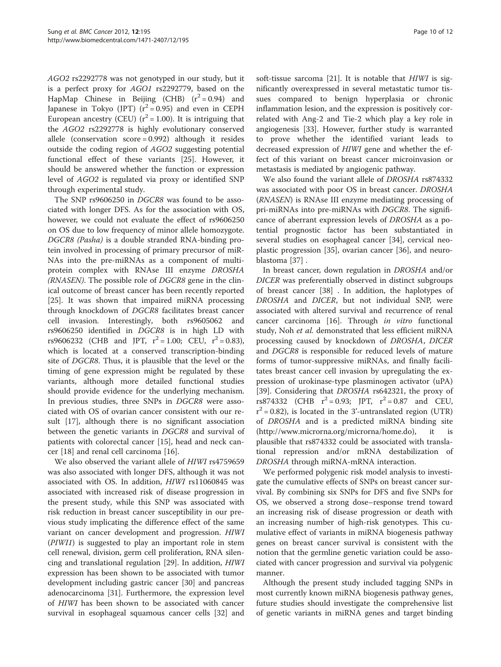AGO2 rs2292778 was not genotyped in our study, but it is a perfect proxy for AGO1 rs2292779, based on the HapMap Chinese in Beijing (CHB)  $(r^2 = 0.94)$  and Japanese in Tokyo (JPT)  $(r^2 = 0.95)$  and even in CEPH European ancestry (CEU) ( $r^2$  = 1.00). It is intriguing that the AGO2 rs2292778 is highly evolutionary conserved allele (conservation score = 0.992) although it resides outside the coding region of AGO2 suggesting potential functional effect of these variants [\[25\]](#page-11-0). However, it should be answered whether the function or expression level of AGO2 is regulated via proxy or identified SNP through experimental study.

The SNP rs9606250 in DGCR8 was found to be associated with longer DFS. As for the association with OS, however, we could not evaluate the effect of rs9606250 on OS due to low frequency of minor allele homozygote. DGCR8 (Pasha) is a double stranded RNA-binding protein involved in processing of primary precursor of miR-NAs into the pre-miRNAs as a component of multiprotein complex with RNAse III enzyme DROSHA (RNASEN). The possible role of DGCR8 gene in the clinical outcome of breast cancer has been recently reported [[25\]](#page-11-0). It was shown that impaired miRNA processing through knockdown of DGCR8 facilitates breast cancer cell invasion. Interestingly, both rs9605062 and rs9606250 identified in DGCR8 is in high LD with rs9606232 (CHB and JPT,  $r^2 = 1.00$ ; CEU,  $r^2 = 0.83$ ), which is located at a conserved transcription-binding site of DGCR8. Thus, it is plausible that the level or the timing of gene expression might be regulated by these variants, although more detailed functional studies should provide evidence for the underlying mechanism. In previous studies, three SNPs in DGCR8 were associated with OS of ovarian cancer consistent with our result [\[17](#page-11-0)], although there is no significant association between the genetic variants in DGCR8 and survival of patients with colorectal cancer [\[15](#page-11-0)], head and neck cancer [\[18](#page-11-0)] and renal cell carcinoma [\[16\]](#page-11-0).

We also observed the variant allele of HIWI rs4759659 was also associated with longer DFS, although it was not associated with OS. In addition, HIWI rs11060845 was associated with increased risk of disease progression in the present study, while this SNP was associated with risk reduction in breast cancer susceptibility in our previous study implicating the difference effect of the same variant on cancer development and progression. HIWI (PIWI1) is suggested to play an important role in stem cell renewal, division, germ cell proliferation, RNA silencing and translational regulation [[29](#page-11-0)]. In addition, HIWI expression has been shown to be associated with tumor development including gastric cancer [\[30](#page-11-0)] and pancreas adenocarcinoma [[31\]](#page-11-0). Furthermore, the expression level of HIWI has been shown to be associated with cancer survival in esophageal squamous cancer cells [[32\]](#page-11-0) and soft-tissue sarcoma [\[21](#page-11-0)]. It is notable that HIWI is significantly overexpressed in several metastatic tumor tissues compared to benign hyperplasia or chronic inflammation lesion, and the expression is positively correlated with Ang-2 and Tie-2 which play a key role in angiogenesis [[33\]](#page-11-0). However, further study is warranted to prove whether the identified variant leads to decreased expression of HIWI gene and whether the effect of this variant on breast cancer microinvasion or metastasis is mediated by angiogenic pathway.

We also found the variant allele of DROSHA rs874332 was associated with poor OS in breast cancer. DROSHA (RNASEN) is RNAse III enzyme mediating processing of pri-miRNAs into pre-miRNAs with DGCR8. The significance of aberrant expression levels of DROSHA as a potential prognostic factor has been substantiated in several studies on esophageal cancer [[34](#page-11-0)], cervical neoplastic progression [\[35](#page-11-0)], ovarian cancer [[36\]](#page-11-0), and neuroblastoma [[37](#page-11-0)] .

In breast cancer, down regulation in DROSHA and/or DICER was preferentially observed in distinct subgroups of breast cancer [\[38\]](#page-11-0) . In addition, the haplotypes of DROSHA and DICER, but not individual SNP, were associated with altered survival and recurrence of renal cancer carcinoma [\[16](#page-11-0)]. Through in vitro functional study, Noh et al. demonstrated that less efficient miRNA processing caused by knockdown of DROSHA, DICER and DGCR8 is responsible for reduced levels of mature forms of tumor-suppressive miRNAs, and finally facilitates breast cancer cell invasion by upregulating the expression of urokinase-type plasminogen activator (uPA) [[39\]](#page-11-0). Considering that *DROSHA* rs642321, the proxy of rs874332 (CHB  $r^2 = 0.93$ ; JPT,  $r^2 = 0.87$  and CEU,  $r^2 = 0.82$ ), is located in the 3'-untranslated region (UTR) of DROSHA and is a predicted miRNA binding site ([http://www.microrna.org/microrna/home.do\)](http://www.microrna.org/microrna/home.do), it is plausible that rs874332 could be associated with translational repression and/or mRNA destabilization of DROSHA through miRNA-mRNA interaction.

We performed polygenic risk model analysis to investigate the cumulative effects of SNPs on breast cancer survival. By combining six SNPs for DFS and five SNPs for OS, we observed a strong dose–response trend toward an increasing risk of disease progression or death with an increasing number of high-risk genotypes. This cumulative effect of variants in miRNA biogenesis pathway genes on breast cancer survival is consistent with the notion that the germline genetic variation could be associated with cancer progression and survival via polygenic manner.

Although the present study included tagging SNPs in most currently known miRNA biogenesis pathway genes, future studies should investigate the comprehensive list of genetic variants in miRNA genes and target binding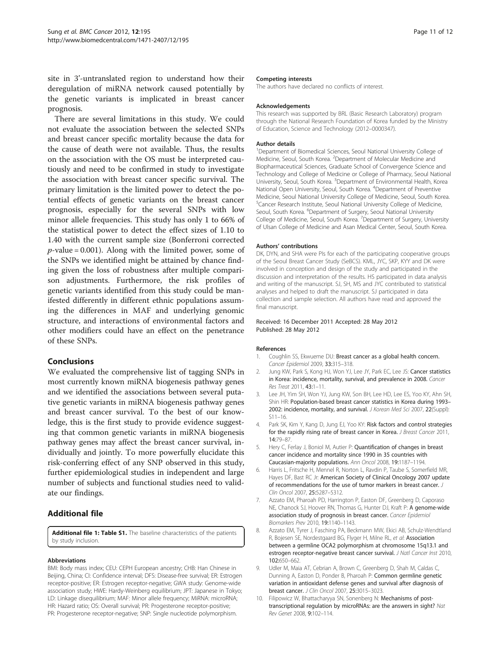<span id="page-10-0"></span>site in 3'-untranslated region to understand how their deregulation of miRNA network caused potentially by the genetic variants is implicated in breast cancer prognosis.

There are several limitations in this study. We could not evaluate the association between the selected SNPs and breast cancer specific mortality because the data for the cause of death were not available. Thus, the results on the association with the OS must be interpreted cautiously and need to be confirmed in study to investigate the association with breast cancer specific survival. The primary limitation is the limited power to detect the potential effects of genetic variants on the breast cancer prognosis, especially for the several SNPs with low minor allele frequencies. This study has only 1 to 66% of the statistical power to detect the effect sizes of 1.10 to 1.40 with the current sample size (Bonferroni corrected  $p$ -value = 0.001). Along with the limited power, some of the SNPs we identified might be attained by chance finding given the loss of robustness after multiple comparison adjustments. Furthermore, the risk profiles of genetic variants identified from this study could be manifested differently in different ethnic populations assuming the differences in MAF and underlying genomic structure, and interactions of environmental factors and other modifiers could have an effect on the penetrance of these SNPs.

## Conclusions

We evaluated the comprehensive list of tagging SNPs in most currently known miRNA biogenesis pathway genes and we identified the associations between several putative genetic variants in miRNA biogenesis pathway genes and breast cancer survival. To the best of our knowledge, this is the first study to provide evidence suggesting that common genetic variants in miRNA biogenesis pathway genes may affect the breast cancer survival, individually and jointly. To more powerfully elucidate this risk-conferring effect of any SNP observed in this study, further epidemiological studies in independent and large number of subjects and functional studies need to validate our findings.

## Additional file

[Additional file 1:](http://www.biomedcentral.com/1471-2407/supplementary/1471-2407-12-195-S1.pdf) Table S1. The baseline characteristics of the patients by study inclusion.

#### Abbreviations

BMI: Body mass index; CEU: CEPH European ancestry; CHB: Han Chinese in Beijing, China; CI: Confidence interval; DFS: Disease-free survival; ER: Estrogen receptor-positive; ER: Estrogen receptor-negative; GWA study: Genome-wide association study; HWE: Hardy-Weinberg equilibrium; JPT: Japanese in Tokyo; LD: Linkage disequilibrium; MAF: Minor allele frequency; MiRNA: microRNA; HR: Hazard ratio; OS: Overall survival; PR: Progesterone receptor-positive; PR: Progesterone receptor-negative; SNP: Single nucleotide polymorphism.

#### Competing interests

The authors have declared no conflicts of interest.

#### **Acknowledgements**

This research was supported by BRL (Basic Research Laboratory) program through the National Research Foundation of Korea funded by the Ministry of Education, Science and Technology (2012–0000347).

#### Author details

<sup>1</sup>Department of Biomedical Sciences, Seoul National University College of Medicine, Seoul, South Korea. <sup>2</sup> Department of Molecular Medicine and Biopharmaceutical Sciences, Graduate School of Convergence Science and Technology and College of Medicine or College of Pharmacy, Seoul National University, Seoul, South Korea. <sup>3</sup>Department of Environmental Health, Korea National Open University, Seoul, South Korea. <sup>4</sup>Department of Preventive Medicine, Seoul National University College of Medicine, Seoul, South Korea. 5 Cancer Research Institute, Seoul National University College of Medicine, Seoul, South Korea. <sup>6</sup>Department of Surgery, Seoul National University College of Medicine, Seoul, South Korea. <sup>7</sup>Department of Surgery, University of Ulsan College of Medicine and Asan Medical Center, Seoul, South Korea.

#### Authors' contributions

DK, DYN, and SHA were PIs for each of the participating cooperative groups of the Seoul Breast Cancer Study (SeBCS). KML, JYC, SKP, KYY and DK were involved in conception and design of the study and participated in the discussion and interpretation of the results. HS participated in data analysis and writing of the manuscript. SJ, SH, MS and JYC contributed to statistical analyses and helped to draft the manuscript. SJ participated in data collection and sample selection. All authors have read and approved the final manuscript.

#### Received: 16 December 2011 Accepted: 28 May 2012 Published: 28 May 2012

#### References

- 1. Coughlin SS, Ekwueme DU: Breast cancer as a global health concern. Cancer Epidemiol 2009, 33:315–318.
- 2. Jung KW, Park S, Kong HJ, Won YJ, Lee JY, Park EC, Lee JS: Cancer statistics in Korea: incidence, mortality, survival, and prevalence in 2008. Cancer Res Treat 2011, 43:1–11.
- 3. Lee JH, Yim SH, Won YJ, Jung KW, Son BH, Lee HD, Lee ES, Yoo KY, Ahn SH, Shin HR: Population-based breast cancer statistics in Korea during 1993– 2002: incidence, mortality, and survival. J Korean Med Sci 2007, 22(Suppl): S11–16.
- 4. Park SK, Kim Y, Kang D, Jung EJ, Yoo KY: Risk factors and control strategies for the rapidly rising rate of breast cancer in Korea. *J Breast Cancer* 2011, 14:79–87.
- 5. Hery C, Ferlay J, Boniol M, Autier P: Quantification of changes in breast cancer incidence and mortality since 1990 in 35 countries with Caucasian-majority populations. Ann Oncol 2008, 19:1187–1194.
- 6. Harris L, Fritsche H, Mennel R, Norton L, Ravdin P, Taube S, Somerfield MR, Hayes DF, Bast RC Jr: American Society of Clinical Oncology 2007 update of recommendations for the use of tumor markers in breast cancer. J Clin Oncol 2007, 25:5287–5312.
- 7. Azzato EM, Pharoah PD, Harrington P, Easton DF, Greenberg D, Caporaso NE, Chanock SJ, Hoover RN, Thomas G, Hunter DJ, Kraft P: A genome-wide association study of prognosis in breast cancer. Cancer Epidemiol Biomarkers Prev 2010, 19:1140–1143.
- 8. Azzato EM, Tyrer J, Fasching PA, Beckmann MW, Ekici AB, Schulz-Wendtland R, Bojesen SE, Nordestgaard BG, Flyger H, Milne RL, et al: Association between a germline OCA2 polymorphism at chromosome 15q13.1 and estrogen receptor-negative breast cancer survival. J Natl Cancer Inst 2010, 102:650–662.
- 9. Udler M, Maia AT, Cebrian A, Brown C, Greenberg D, Shah M, Caldas C, Dunning A, Easton D, Ponder B, Pharoah P: Common germline genetic variation in antioxidant defense genes and survival after diagnosis of breast cancer. J Clin Oncol 2007, 25:3015–3023.
- 10. Filipowicz W, Bhattacharyya SN, Sonenberg N: Mechanisms of posttranscriptional regulation by microRNAs: are the answers in sight? Nat Rev Genet 2008, 9:102–114.